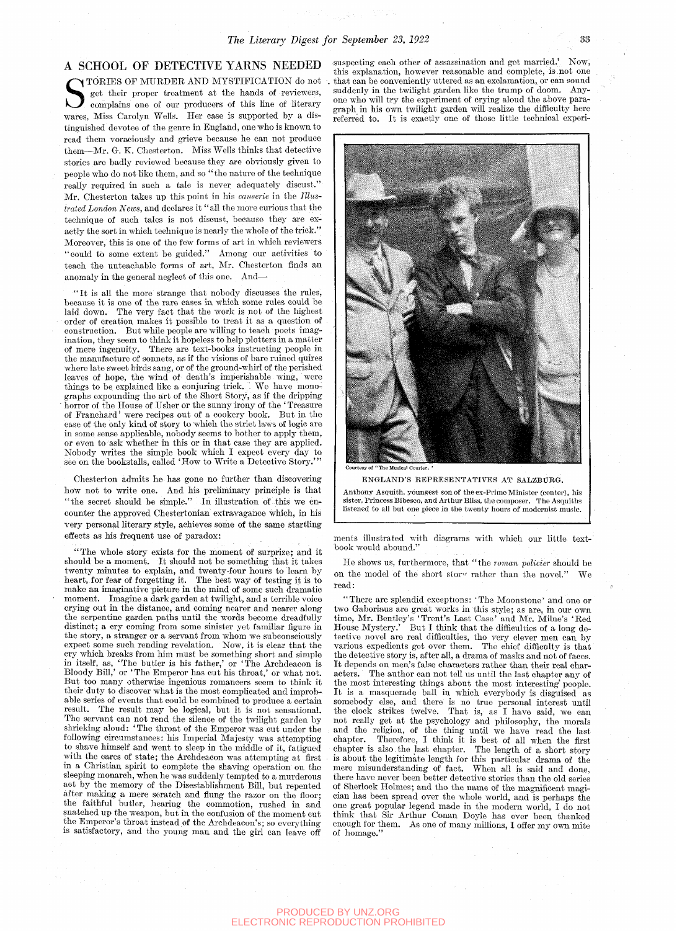## A SCHOOL OF DETECTIVE YARNS NEEDED

STORIES OF MURDER AND MYSTIFICATION do not get their proper treatment at the hands of reviewers, complains one of our producers of this line of literary wares, Miss Carolyn Wells. Her case is supported by a dis-TORIES OF MURDER AND MYSTIFICATION do not get their proper treatment at the hands of reviewers, complains one of our producers of this line of literary tinguished devotee of the genre in England, one who is known to read them voraciously and grieve because he can not produce them—Mr. G. K. Chesterton. Miss Wells thinks that detective stories are badly reviewed because they are obviously given to people who do not like them, and so "the nature of the technique reaUy required in such a tale is never adequately discust." Mr. Chesterton takes up this point in his *causerie* in the *Illustrated London News,* and declares it "all the more curious that the technique of such tales is not discust, because they are exactly the sort in which technique is nearly the whole of the trick." Moreover, this is one of the few forms of art in which reviewers "could to some extent be guided." Among our activities to teach the unteachable forms of art, Mr. Chesterton finds an anomaly in the general neglect of this one. And-

" It is all the more strange that nobody discusses the rules, because it is one of the rare cases in which some rules could be laid down. The very fact that the work is not of the highest order of creation makes it possible to treat it as a question of construction. But while people are willing to teach poets imagination, they seem to think it hopeless to help plotters in a matter of mere ingenuity. There are text-books instructing people in the manufacture of sonnets, as if the visions of bare ruined quires where late sweet birds sang, or of the ground-whirl of the perished leaves of hope, the wind of death's imperishable wing, were things to be explained like a conjuring trick. *[* We have monographs expounding the art of the Short Story, as if the dripping • horror of the House of Usher or the sunny irony of the ' Treasure of Franohard' were recipes out of a cookery book. But in the case of the only kind of story to which the strict laws of logic are in some sense applicable, nobody seems to bother to apply them, or even to ask whether in this or in that case they are applied. Nobody writes the simple book which I expect every day to see on the bookstalls, called 'How to Write a Detective Story.'"

Chesterton admits he has gone no further than discovering how not to write one. And his preliminary principle is that "the secret should be simple." In illustration of this we encounter the approved Chestertonian extravagance which, in his very personal literary style, achieves some of the same startling effects as his frequent use of paradox:

"The whole story exists for the moment of surprize; and it should be a moment. It should not be something that it takes twenty minutes to explain, and twenty-four hours to learn by heart, for fear of forgetting it. The best way of testing it is to make an imaginative picture in the mind of some such dramatic moment. Imagine a dark garden at twilight, and a terrible voice crying out in the distance, and coming nearer and nearer along the serpentine garden paths until the words become dreadfully distinct; a cry coming from some sinister yet familiar figure in the story, a stranger or a servant from whom we subconsciously expect some such rending revelation. Now, it is clear that the cry which breaks from him must be something short and simple in itself, as, 'The butler is his father,' or 'The Archdeacon is Bloody Bill,' or 'The Emperor has cut his throat,' or what not. But too many otherwise ingenious romancers seem to think it their duty to discover what is the most complicated and improbable series of events that could be combined to produce a certain result. The result may be logical, but it is not sensational. The servant can not rend the silence of the twilight garden by shrieking aloud: 'The throat of the Emperor was cut under the following circumstances: his Imperial Majesty was attempting to shave himself and went to sleep in the middle of it, fatigued with the cares of state; the Archdeacon was attempting at first in a Christian spirit to complete the shaving operation on the sleeping monarch, when he was suddenly tempted to a murderous act by the memory of the Disestablishment Bill, but repented after making a mere scratch and flung the razor on the floor; the faithful butler, hearing the commotion, rushed in and snatched up the weapon, but in the confusion of the moment cut the Emperor's throat instead of the Archdeacon's; so everything is satisfactory, and the young man and the girl can leave off

suspecting each other of assassination and get married.' Now, this explanation, however reasonable and complete, is not one that can be conveniently uttered as an exclamation, or can sound suddenly in the twilight garden like the trump of doom. Anyone who will try the experiment of crying aloud the above paragraph in his own twilight garden will realize the difficulty here referred to. It is exactly one of those little technical experi-



ENGLAND'S REPRESENTATIVES AT SALZBURG.

Anthony Asquith, youngest son of the ex-Prime Minister (center), his sister, Princess Bibesco, and Arthur Bliss, the composer. The Asquiths listened to all but one piece in the twenty hours of modernist music.

ments illustrated with diagrams with which our little textbook would abound."

He shows us, furthermore, that "the *roman policier* should be on the model of the short story rather than the novel." read:

"There are splendid exceptions: "The Moonstone' and one or two Gaboriaus are great works in this style; as are, in our own time, Mr. Bentley's 'Trent's Last Case' and Mr. Milne's 'Red House Mystery.' But I think that the difficulties of a long detective novel are real difficulties, tho very clever men can by various expedients get over them. The chief difficulty is that the detective story is, after all, a drama of masks and not of faces. It depends on men's false characters rather than their real characters. The author can not tell us until the last chanter any of The author can not tell us until the last chapter any of the most interesting things about the most interesting' people. It is a masquerade ball in which everybody is disguised as somebody else, and there is no true personal interest until the clock strikes twelve. That is, as I have said, we can not really get at the psychology and philosophy, the morals and the religion, of the thing until we have read the last chapter. Therefore, I think it is best of all when the first chapter. Therefore, I think it is best of all when the first chapter is also. the last chapter. The length of a short story chapter is also the last chapter. The length of a short story is about the legitimate length for this particular drama of the mere misunderstanding of fact. When all is said and done, there have never been better detective stories than the old series of Sherlock Holmes; and tho the name of the magnificent magician has been spread over the whole world, and is perhaps the one great popular legend made in the modern world, I do not think that Sir Arthur Conan Doyle has ever been thanked enough for them. As one of many millions, I offer my own mite of homage."